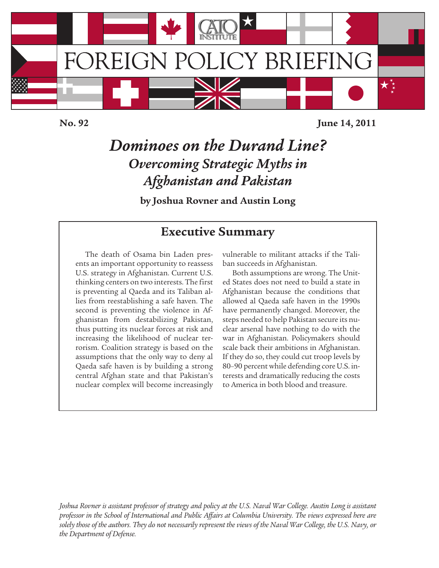

**No. 92**

**June 14, 2011**

# *Dominoes on the Durand Line? Overcoming Strategic Myths in Afghanistan and Pakistan*

**by Joshua Rovner and Austin Long**

## **Executive Summary**

The death of Osama bin Laden presents an important opportunity to reassess U.S. strategy in Afghanistan. Current U.S. thinking centers on two interests. The first is preventing al Qaeda and its Taliban allies from reestablishing a safe haven. The second is preventing the violence in Afghanistan from destabilizing Pakistan, thus putting its nuclear forces at risk and increasing the likelihood of nuclear terrorism. Coalition strategy is based on the assumptions that the only way to deny al Qaeda safe haven is by building a strong central Afghan state and that Pakistan's nuclear complex will become increasingly vulnerable to militant attacks if the Taliban succeeds in Afghanistan.

Both assumptions are wrong. The United States does not need to build a state in Afghanistan because the conditions that allowed al Qaeda safe haven in the 1990s have permanently changed. Moreover, the steps needed to help Pakistan secure its nuclear arsenal have nothing to do with the war in Afghanistan. Policymakers should scale back their ambitions in Afghanistan. If they do so, they could cut troop levels by 80–90 percent while defending core U.S. interests and dramatically reducing the costs to America in both blood and treasure.

*Joshua Rovner is assistant professor of strategy and policy at the U.S. Naval War College. Austin Long is assistant professor in the School of International and Public Affairs at Columbia University. The views expressed here are*  solely those of the authors. They do not necessarily represent the views of the Naval War College, the U.S. Navy, or *the Department of Defense.*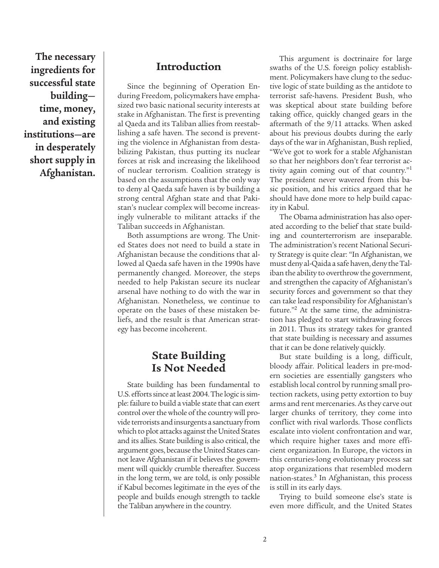**The necessary ingredients for successful state building time, money, and existing institutions—are in desperately short supply in Afghanistan.**

## **Introduction**

Since the beginning of Operation Enduring Freedom, policymakers have emphasized two basic national security interests at stake in Afghanistan. The first is preventing al Qaeda and its Taliban allies from reestablishing a safe haven. The second is preventing the violence in Afghanistan from destabilizing Pakistan, thus putting its nuclear forces at risk and increasing the likelihood of nuclear terrorism. Coalition strategy is based on the assumptions that the only way to deny al Qaeda safe haven is by building a strong central Afghan state and that Pakistan's nuclear complex will become increasingly vulnerable to militant attacks if the Taliban succeeds in Afghanistan.

Both assumptions are wrong. The United States does not need to build a state in Afghanistan because the conditions that allowed al Qaeda safe haven in the 1990s have permanently changed. Moreover, the steps needed to help Pakistan secure its nuclear arsenal have nothing to do with the war in Afghanistan. Nonetheless, we continue to operate on the bases of these mistaken beliefs, and the result is that American strategy has become incoherent.

#### **State Building Is Not Needed**

State building has been fundamental to U.S. efforts since at least 2004. The logic is simple: failure to build a viable state that can exert control over the whole of the country will provide terrorists and insurgents a sanctuary from which to plot attacks against the United States and its allies. State building is also critical, the argument goes, because the United States cannot leave Afghanistan if it believes the government will quickly crumble thereafter. Success in the long term, we are told, is only possible if Kabul becomes legitimate in the eyes of the people and builds enough strength to tackle the Taliban anywhere in the country.

This argument is doctrinaire for large swaths of the U.S. foreign policy establishment. Policymakers have clung to the seductive logic of state building as the antidote to terrorist safe-havens. President Bush, who was skeptical about state building before taking office, quickly changed gears in the aftermath of the 9/11 attacks. When asked about his previous doubts during the early days of the war in Afghanistan, Bush replied, "We've got to work for a stable Afghanistan so that her neighbors don't fear terrorist activity again coming out of that country."1 The president never wavered from this basic position, and his critics argued that he should have done more to help build capacity in Kabul.

The Obama administration has also operated according to the belief that state building and counterterrorism are inseparable. The administration's recent National Security Strategy is quite clear: "In Afghanistan, we must deny al-Qaida a safe haven, deny the Taliban the ability to overthrow the government, and strengthen the capacity of Afghanistan's security forces and government so that they can take lead responsibility for Afghanistan's future."<sup>2</sup> At the same time, the administration has pledged to start withdrawing forces in 2011. Thus its strategy takes for granted that state building is necessary and assumes that it can be done relatively quickly.

But state building is a long, difficult, bloody affair. Political leaders in pre-modern societies are essentially gangsters who establish local control by running small protection rackets, using petty extortion to buy arms and rent mercenaries. As they carve out larger chunks of territory, they come into conflict with rival warlords. Those conflicts escalate into violent confrontation and war, which require higher taxes and more efficient organization. In Europe, the victors in this centuries-long evolutionary process sat atop organizations that resembled modern nation-states.3 In Afghanistan, this process is still in its early days.

Trying to build someone else's state is even more difficult, and the United States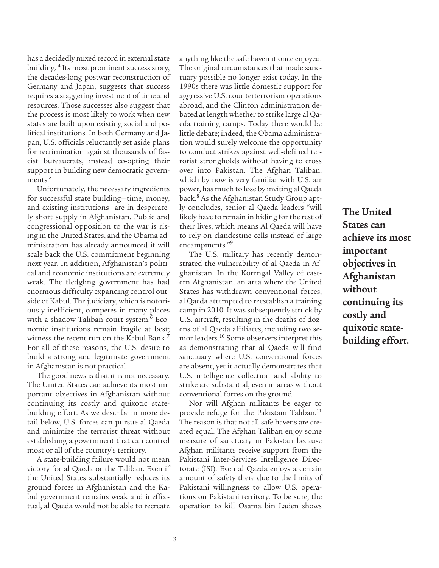has a decidedly mixed record in external state building. 4 Its most prominent success story, the decades-long postwar reconstruction of Germany and Japan, suggests that success requires a staggering investment of time and resources. Those successes also suggest that the process is most likely to work when new states are built upon existing social and political institutions. In both Germany and Japan, U.S. officials reluctantly set aside plans for recrimination against thousands of fascist bureaucrats, instead co-opting their support in building new democratic governments.<sup>5</sup>

Unfortunately, the necessary ingredients for successful state building—time, money, and existing institutions—are in desperately short supply in Afghanistan. Public and congressional opposition to the war is rising in the United States, and the Obama administration has already announced it will scale back the U.S. commitment beginning next year. In addition, Afghanistan's political and economic institutions are extremely weak. The fledgling government has had enormous difficulty expanding control outside of Kabul. The judiciary, which is notoriously inefficient, competes in many places with a shadow Taliban court system.6 Economic institutions remain fragile at best; witness the recent run on the Kabul Bank.<sup>7</sup> For all of these reasons, the U.S. desire to build a strong and legitimate government in Afghanistan is not practical.

The good news is that it is not necessary. The United States can achieve its most important objectives in Afghanistan without continuing its costly and quixotic statebuilding effort. As we describe in more detail below, U.S. forces can pursue al Qaeda and minimize the terrorist threat without establishing a government that can control most or all of the country's territory.

A state-building failure would not mean victory for al Qaeda or the Taliban. Even if the United States substantially reduces its ground forces in Afghanistan and the Kabul government remains weak and ineffectual, al Qaeda would not be able to recreate

anything like the safe haven it once enjoyed. The original circumstances that made sanctuary possible no longer exist today. In the 1990s there was little domestic support for aggressive U.S. counterterrorism operations abroad, and the Clinton administration debated at length whether to strike large al Qaeda training camps. Today there would be little debate; indeed, the Obama administration would surely welcome the opportunity to conduct strikes against well-defined terrorist strongholds without having to cross over into Pakistan. The Afghan Taliban, which by now is very familiar with U.S. air power, has much to lose by inviting al Qaeda back.<sup>8</sup> As the Afghanistan Study Group aptly concludes, senior al Qaeda leaders "will likely have to remain in hiding for the rest of their lives, which means Al Qaeda will have to rely on clandestine cells instead of large encampments."<sup>9</sup>

The U.S. military has recently demonstrated the vulnerability of al Qaeda in Afghanistan. In the Korengal Valley of eastern Afghanistan, an area where the United States has withdrawn conventional forces, al Qaeda attempted to reestablish a training camp in 2010. It was subsequently struck by U.S. aircraft, resulting in the deaths of dozens of al Qaeda affiliates, including two senior leaders.<sup>10</sup> Some observers interpret this as demonstrating that al Qaeda will find sanctuary where U.S. conventional forces are absent, yet it actually demonstrates that U.S. intelligence collection and ability to strike are substantial, even in areas without conventional forces on the ground.

Nor will Afghan militants be eager to provide refuge for the Pakistani Taliban.<sup>11</sup> The reason is that not all safe havens are created equal. The Afghan Taliban enjoy some measure of sanctuary in Pakistan because Afghan militants receive support from the Pakistani Inter-Services Intelligence Directorate (ISI). Even al Qaeda enjoys a certain amount of safety there due to the limits of Pakistani willingness to allow U.S. operations on Pakistani territory. To be sure, the operation to kill Osama bin Laden shows

**The United States can achieve its most important objectives in Afghanistan without continuing its costly and quixotic statebuilding effort.**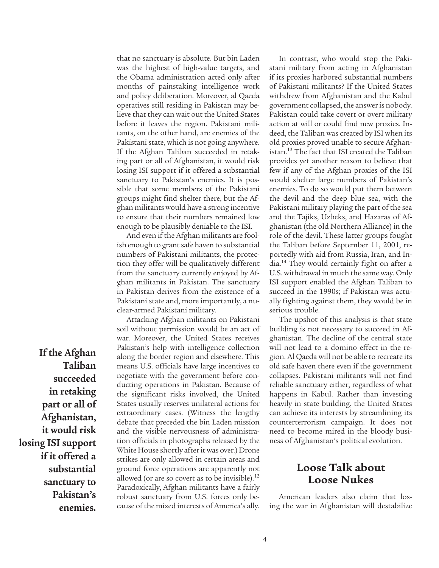that no sanctuary is absolute. But bin Laden was the highest of high-value targets, and the Obama administration acted only after months of painstaking intelligence work and policy deliberation. Moreover, al Qaeda operatives still residing in Pakistan may believe that they can wait out the United States before it leaves the region. Pakistani militants, on the other hand, are enemies of the Pakistani state, which is not going anywhere. If the Afghan Taliban succeeded in retaking part or all of Afghanistan, it would risk losing ISI support if it offered a substantial sanctuary to Pakistan's enemies. It is possible that some members of the Pakistani groups might find shelter there, but the Afghan militants would have a strong incentive to ensure that their numbers remained low enough to be plausibly deniable to the ISI.

And even if the Afghan militants are foolish enough to grant safe haven to substantial numbers of Pakistani militants, the protection they offer will be qualitatively different from the sanctuary currently enjoyed by Afghan militants in Pakistan. The sanctuary in Pakistan derives from the existence of a Pakistani state and, more importantly, a nuclear-armed Pakistani military.

Attacking Afghan militants on Pakistani soil without permission would be an act of war. Moreover, the United States receives Pakistan's help with intelligence collection along the border region and elsewhere. This means U.S. officials have large incentives to negotiate with the government before conducting operations in Pakistan. Because of the significant risks involved, the United States usually reserves unilateral actions for extraordinary cases. (Witness the lengthy debate that preceded the bin Laden mission and the visible nervousness of administration officials in photographs released by the White House shortly after it was over.) Drone strikes are only allowed in certain areas and ground force operations are apparently not allowed (or are so covert as to be invisible). $^{12}$ Paradoxically, Afghan militants have a fairly robust sanctuary from U.S. forces only because of the mixed interests of America's ally.

In contrast, who would stop the Pakistani military from acting in Afghanistan if its proxies harbored substantial numbers of Pakistani militants? If the United States withdrew from Afghanistan and the Kabul government collapsed, the answer is nobody. Pakistan could take covert or overt military action at will or could find new proxies. Indeed, the Taliban was created by ISI when its old proxies proved unable to secure Afghanistan.13 The fact that ISI created the Taliban provides yet another reason to believe that few if any of the Afghan proxies of the ISI would shelter large numbers of Pakistan's enemies. To do so would put them between the devil and the deep blue sea, with the Pakistani military playing the part of the sea and the Tajiks, Uzbeks, and Hazaras of Afghanistan (the old Northern Alliance) in the role of the devil. These latter groups fought the Taliban before September 11, 2001, reportedly with aid from Russia, Iran, and India.14 They would certainly fight on after a U.S. withdrawal in much the same way. Only ISI support enabled the Afghan Taliban to succeed in the 1990s; if Pakistan was actually fighting against them, they would be in serious trouble.

The upshot of this analysis is that state building is not necessary to succeed in Afghanistan. The decline of the central state will not lead to a domino effect in the region. Al Qaeda will not be able to recreate its old safe haven there even if the government collapses. Pakistani militants will not find reliable sanctuary either, regardless of what happens in Kabul. Rather than investing heavily in state building, the United States can achieve its interests by streamlining its counterterrorism campaign. It does not need to become mired in the bloody business of Afghanistan's political evolution.

## **Loose Talk about Loose Nukes**

American leaders also claim that losing the war in Afghanistan will destabilize

**If the Afghan Taliban succeeded in retaking part or all of Afghanistan, it would risk losing ISI support if it offered a substantial sanctuary to Pakistan's enemies.**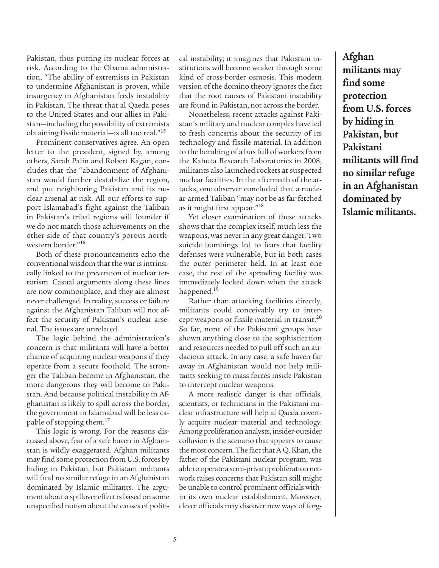Pakistan, thus putting its nuclear forces at risk. According to the Obama administration, "The ability of extremists in Pakistan to undermine Afghanistan is proven, while insurgency in Afghanistan feeds instability in Pakistan. The threat that al Qaeda poses to the United States and our allies in Pakistan—including the possibility of extremists obtaining fissile material—is all too real."15

Prominent conservatives agree. An open letter to the president, signed by, among others, Sarah Palin and Robert Kagan, concludes that the "abandonment of Afghanistan would further destabilize the region, and put neighboring Pakistan and its nuclear arsenal at risk. All our efforts to support Islamabad's fight against the Taliban in Pakistan's tribal regions will founder if we do not match those achievements on the other side of that country's porous northwestern border."<sup>16</sup>

Both of these pronouncements echo the conventional wisdom that the war is intrinsically linked to the prevention of nuclear terrorism. Casual arguments along these lines are now commonplace, and they are almost never challenged. In reality, success or failure against the Afghanistan Taliban will not affect the security of Pakistan's nuclear arsenal. The issues are unrelated.

The logic behind the administration's concern is that militants will have a better chance of acquiring nuclear weapons if they operate from a secure foothold. The stronger the Taliban become in Afghanistan, the more dangerous they will become to Pakistan. And because political instability in Afghanistan is likely to spill across the border, the government in Islamabad will be less capable of stopping them.<sup>17</sup>

This logic is wrong. For the reasons discussed above, fear of a safe haven in Afghanistan is wildly exaggerated. Afghan militants may find some protection from U.S. forces by hiding in Pakistan, but Pakistani militants will find no similar refuge in an Afghanistan dominated by Islamic militants. The argument about a spillover effect is based on some unspecified notion about the causes of political instability; it imagines that Pakistani institutions will become weaker through some kind of cross-border osmosis. This modern version of the domino theory ignores the fact that the root causes of Pakistani instability are found in Pakistan, not across the border.

Nonetheless, recent attacks against Pakistan's military and nuclear complex have led to fresh concerns about the security of its technology and fissile material. In addition to the bombing of a bus full of workers from the Kahuta Research Laboratories in 2008, militants also launched rockets at suspected nuclear facilities. In the aftermath of the attacks, one observer concluded that a nuclear-armed Taliban "may not be as far-fetched as it might first appear."18

Yet closer examination of these attacks shows that the complex itself, much less the weapons, was never in any great danger. Two suicide bombings led to fears that facility defenses were vulnerable, but in both cases the outer perimeter held. In at least one case, the rest of the sprawling facility was immediately locked down when the attack happened.19

Rather than attacking facilities directly, militants could conceivably try to intercept weapons or fissile material in transit.<sup>20</sup> So far, none of the Pakistani groups have shown anything close to the sophistication and resources needed to pull off such an audacious attack. In any case, a safe haven far away in Afghanistan would not help militants seeking to mass forces inside Pakistan to intercept nuclear weapons.

A more realistic danger is that officials, scientists, or technicians in the Pakistani nuclear infrastructure will help al Qaeda covertly acquire nuclear material and technology. Among proliferation analysts, insider-outsider collusion is the scenario that appears to cause the most concern. The fact that A.Q. Khan, the father of the Pakistani nuclear program, was able to operate a semi-private proliferation network raises concerns that Pakistan still might be unable to control prominent officials within its own nuclear establishment. Moreover, clever officials may discover new ways of forg**Afghan militants may find some protection from U.S. forces by hiding in Pakistan, but Pakistani militants will find no similar refuge in an Afghanistan dominated by Islamic militants.**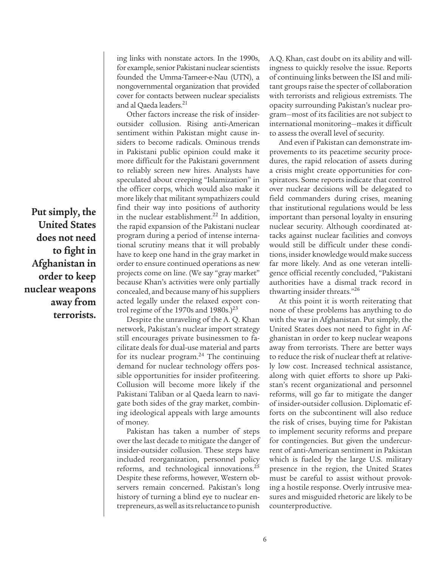**Put simply, the United States does not need to fight in Afghanistan in order to keep nuclear weapons away from terrorists.** 

ing links with nonstate actors. In the 1990s, for example, senior Pakistani nuclear scientists founded the Umma-Tameer-e-Nau (UTN), a nongovernmental organization that provided cover for contacts between nuclear specialists and al Qaeda leaders.<sup>21</sup>

Other factors increase the risk of insideroutsider collusion. Rising anti-American sentiment within Pakistan might cause insiders to become radicals. Ominous trends in Pakistani public opinion could make it more difficult for the Pakistani government to reliably screen new hires. Analysts have speculated about creeping "Islamization" in the officer corps, which would also make it more likely that militant sympathizers could find their way into positions of authority in the nuclear establishment.<sup>22</sup> In addition, the rapid expansion of the Pakistani nuclear program during a period of intense international scrutiny means that it will probably have to keep one hand in the gray market in order to ensure continued operations as new projects come on line. (We say "gray market" because Khan's activities were only partially concealed, and because many of his suppliers acted legally under the relaxed export control regime of the 1970s and 1980s.)<sup>23</sup>

Despite the unraveling of the A. Q. Khan network, Pakistan's nuclear import strategy still encourages private businessmen to facilitate deals for dual-use material and parts for its nuclear program. $24$  The continuing demand for nuclear technology offers possible opportunities for insider profiteering. Collusion will become more likely if the Pakistani Taliban or al Qaeda learn to navigate both sides of the gray market, combining ideological appeals with large amounts of money.

Pakistan has taken a number of steps over the last decade to mitigate the danger of insider-outsider collusion. These steps have included reorganization, personnel policy reforms, and technological innovations.<sup>25</sup> Despite these reforms, however, Western observers remain concerned. Pakistan's long history of turning a blind eye to nuclear entrepreneurs, as well as its reluctance to punish

A.Q. Khan, cast doubt on its ability and willingness to quickly resolve the issue. Reports of continuing links between the ISI and militant groups raise the specter of collaboration with terrorists and religious extremists. The opacity surrounding Pakistan's nuclear program—most of its facilities are not subject to international monitoring—makes it difficult to assess the overall level of security.

And even if Pakistan can demonstrate improvements to its peacetime security procedures, the rapid relocation of assets during a crisis might create opportunities for conspirators. Some reports indicate that control over nuclear decisions will be delegated to field commanders during crises, meaning that institutional regulations would be less important than personal loyalty in ensuring nuclear security. Although coordinated attacks against nuclear facilities and convoys would still be difficult under these conditions, insider knowledge would make success far more likely. And as one veteran intelligence official recently concluded, "Pakistani authorities have a dismal track record in thwarting insider threats."26

At this point it is worth reiterating that none of these problems has anything to do with the war in Afghanistan. Put simply, the United States does not need to fight in Afghanistan in order to keep nuclear weapons away from terrorists. There are better ways to reduce the risk of nuclear theft at relatively low cost. Increased technical assistance, along with quiet efforts to shore up Pakistan's recent organizational and personnel reforms, will go far to mitigate the danger of insider-outsider collusion. Diplomatic efforts on the subcontinent will also reduce the risk of crises, buying time for Pakistan to implement security reforms and prepare for contingencies. But given the undercurrent of anti-American sentiment in Pakistan which is fueled by the large U.S. military presence in the region, the United States must be careful to assist without provoking a hostile response. Overly intrusive measures and misguided rhetoric are likely to be counterproductive.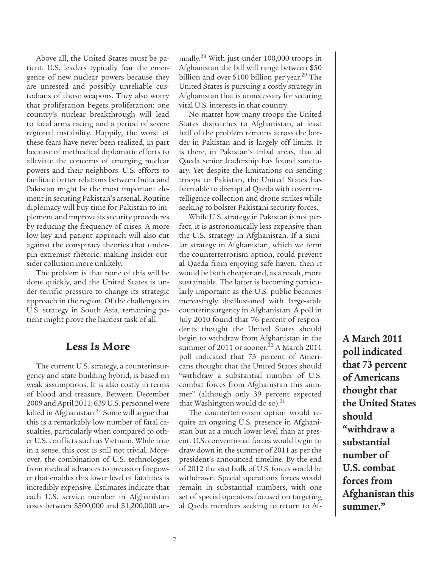Above all, the United States must be patient. U.S. leaders typically fear the emergence of new nuclear powers because they are untested and possibly unreliable custodians of those weapons. They also worry that proliferation begets proliferation: one country's nuclear breakthrough will lead to local arms racing and a period of severe regional instability. Happily, the worst of these fears have never been realized, in part because of methodical diplomatic efforts to alleviate the concerns of emerging nuclear powers and their neighbors. U.S. efforts to facilitate better relations between India and Pakistan might be the most important element in securing Pakistan's arsenal. Routine diplomacy will buy time for Pakistan to implement and improve its security procedures by reducing the frequency of crises. A more low key and patient approach will also cut against the conspiracy theories that underpin extremist rhetoric, making insider-outsider collusion more unlikely.

The problem is that none of this will be done quickly, and the United States is under terrific pressure to change its strategic approach in the region. Of the challenges in U.S. strategy in South Asia, remaining patient might prove the hardest task of all.

#### **Less Is More**

The current U.S. strategy, a counterinsurgency and state-building hybrid, is based on weak assumptions. It is also costly in terms of blood and treasure. Between December 2009 and April 2011, 639 U.S. personnel were killed in Afghanistan. $2^7$  Some will argue that this is a remarkably low number of fatal casualties, particularly when compared to other U.S. conflicts such as Vietnam. While true in a sense, this cost is still not trivial. Moreover, the combination of U.S. technologies from medical advances to precision firepower that enables this lower level of fatalities is incredibly expensive. Estimates indicate that each U.S. service member in Afghanistan costs between \$500,000 and \$1,200,000 annually.28 With just under 100,000 troops in Afghanistan the bill will range between \$50 billion and over \$100 billion per year.<sup>29</sup> The United States is pursuing a costly strategy in Afghanistan that is unnecessary for securing vital U.S. interests in that country.

No matter how many troops the United States dispatches to Afghanistan, at least half of the problem remains across the border in Pakistan and is largely off limits. It is there, in Pakistan's tribal areas, that al Qaeda senior leadership has found sanctuary. Yet despite the limitations on sending troops to Pakistan, the United States has been able to disrupt al Qaeda with covert intelligence collection and drone strikes while seeking to bolster Pakistani security forces.

While U.S. strategy in Pakistan is not perfect, it is astronomically less expensive than the U.S. strategy in Afghanistan. If a similar strategy in Afghanistan, which we term the counterterrorism option, could prevent al Qaeda from enjoying safe haven, then it would be both cheaper and, as a result, more sustainable. The latter is becoming particularly important as the U.S. public becomes increasingly disillusioned with large-scale counterinsurgency in Afghanistan. A poll in July 2010 found that 76 percent of respondents thought the United States should begin to withdraw from Afghanistan in the summer of 2011 or sooner.<sup>30</sup> A March 2011 poll indicated that 73 percent of Americans thought that the United States should "withdraw a substantial number of U.S. combat forces from Afghanistan this summer" (although only 39 percent expected that Washington would do so).<sup>31</sup>

The counterterrorism option would require an ongoing U.S. presence in Afghanistan but at a much lower level than at present. U.S. conventional forces would begin to draw down in the summer of 2011 as per the president's announced timeline. By the end of 2012 the vast bulk of U.S. forces would be withdrawn. Special operations forces would remain in substantial numbers, with one set of special operators focused on targeting al Qaeda members seeking to return to Af**A March 2011 poll indicated that 73 percent of Americans thought that the United States should "withdraw a substantial number of U.S. combat forces from Afghanistan this summer."**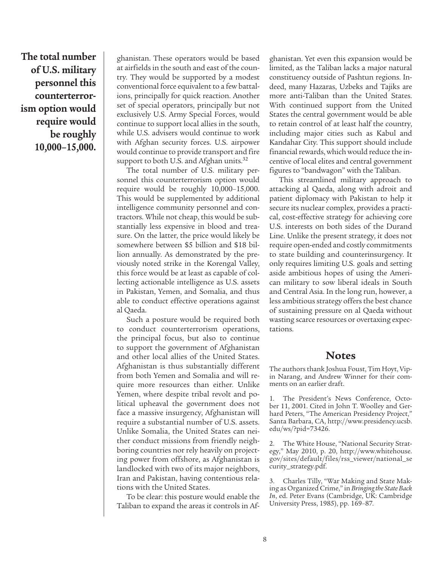**The total number of U.S. military personnel this counterterrorism option would require would be roughly 10,000–15,000.** 

ghanistan. These operators would be based at airfields in the south and east of the country. They would be supported by a modest conventional force equivalent to a few battalions, principally for quick reaction. Another set of special operators, principally but not exclusively U.S. Army Special Forces, would continue to support local allies in the south, while U.S. advisers would continue to work with Afghan security forces. U.S. airpower would continue to provide transport and fire support to both U.S. and Afghan units.<sup>32</sup>

The total number of U.S. military personnel this counterterrorism option would require would be roughly 10,000–15,000. This would be supplemented by additional intelligence community personnel and contractors. While not cheap, this would be substantially less expensive in blood and treasure. On the latter, the price would likely be somewhere between \$5 billion and \$18 billion annually. As demonstrated by the previously noted strike in the Korengal Valley, this force would be at least as capable of collecting actionable intelligence as U.S. assets in Pakistan, Yemen, and Somalia, and thus able to conduct effective operations against al Qaeda.

Such a posture would be required both to conduct counterterrorism operations, the principal focus, but also to continue to support the government of Afghanistan and other local allies of the United States. Afghanistan is thus substantially different from both Yemen and Somalia and will require more resources than either. Unlike Yemen, where despite tribal revolt and political upheaval the government does not face a massive insurgency, Afghanistan will require a substantial number of U.S. assets. Unlike Somalia, the United States can neither conduct missions from friendly neighboring countries nor rely heavily on projecting power from offshore, as Afghanistan is landlocked with two of its major neighbors, Iran and Pakistan, having contentious relations with the United States.

To be clear: this posture would enable the Taliban to expand the areas it controls in Afghanistan. Yet even this expansion would be limited, as the Taliban lacks a major natural constituency outside of Pashtun regions. Indeed, many Hazaras, Uzbeks and Tajiks are more anti-Taliban than the United States. With continued support from the United States the central government would be able to retain control of at least half the country, including major cities such as Kabul and Kandahar City. This support should include financial rewards, which would reduce the incentive of local elites and central government figures to "bandwagon" with the Taliban.

This streamlined military approach to attacking al Qaeda, along with adroit and patient diplomacy with Pakistan to help it secure its nuclear complex, provides a practical, cost-effective strategy for achieving core U.S. interests on both sides of the Durand Line. Unlike the present strategy, it does not require open-ended and costly commitments to state building and counterinsurgency. It only requires limiting U.S. goals and setting aside ambitious hopes of using the American military to sow liberal ideals in South and Central Asia. In the long run, however, a less ambitious strategy offers the best chance of sustaining pressure on al Qaeda without wasting scarce resources or overtaxing expectations.

#### **Notes**

The authors thank Joshua Foust, Tim Hoyt, Vipin Narang, and Andrew Winner for their comments on an earlier draft.

1. The President's News Conference, October 11, 2001. Cited in John T. Woolley and Gerhard Peters, "The American Presidency Project," Santa Barbara, CA, http://www.presidency.ucsb. edu/ws/?pid=73426.

2. The White House, "National Security Strategy," May 2010, p. 20, http://www.whitehouse. gov/sites/default/files/rss\_viewer/national\_se curity\_strategy.pdf.

3. Charles Tilly, "War Making and State Making as Organized Crime," in *Bringing the State Back In*, ed. Peter Evans (Cambridge, UK: Cambridge University Press, 1985), pp. 169–87.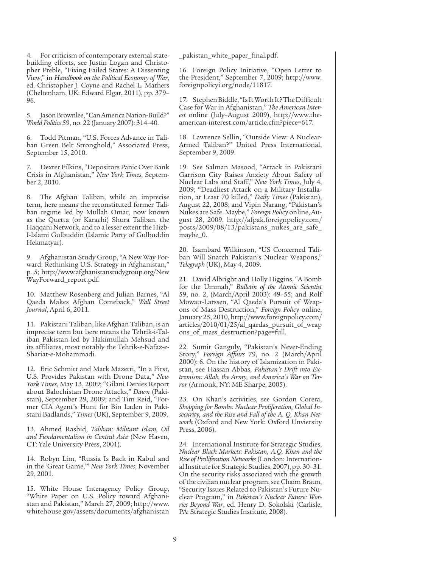4. For criticism of contemporary external statebuilding efforts, see Justin Logan and Christopher Preble, "Fixing Failed States: A Dissenting View," in *Handbook on the Political Economy of War*, ed. Christopher J. Coyne and Rachel L. Mathers (Cheltenham, UK: Edward Elgar, 2011), pp. 379– 96.

5. Jason Brownlee, "Can America Nation-Build?" *World Politics* 59, no. 22 (January 2007): 314–40.

6. Todd Pitman, "U.S. Forces Advance in Taliban Green Belt Stronghold," Associated Press, September 15, 2010.

7. Dexter Filkins, "Depositors Panic Over Bank Crisis in Afghanistan," *New York Times*, September 2, 2010.

8. The Afghan Taliban, while an imprecise term, here means the reconstituted former Taliban regime led by Mullah Omar, now known as the Quetta (or Karachi) Shura Taliban, the Haqqani Network, and to a lesser extent the Hizb-I-Islami Gulbuddin (Islamic Party of Gulbuddin Hekmatyar).

9. Afghanistan Study Group, "A New Way Forward: Rethinking U.S. Strategy in Afghanistan," p. 5; http://www.afghanistanstudygroup.org/New WayForward\_report.pdf.

10. Matthew Rosenberg and Julian Barnes, "Al Qaeda Makes Afghan Comeback," *Wall Street Journal*, April 6, 2011.

11. Pakistani Taliban, like Afghan Taliban, is an imprecise term but here means the Tehrik-i-Taliban Pakistan led by Hakimullah Mehsud and its affiliates, most notably the Tehrik-e-Nafaz-e-Shariat-e-Mohammadi.

12. Eric Schmitt and Mark Mazetti, "In a First, U.S. Provides Pakistan with Drone Data," *New York Times*, May 13, 2009; "Gilani Denies Report about Balochistan Drone Attacks," *Dawn* (Pakistan), September 29, 2009; and Tim Reid, "Former CIA Agent's Hunt for Bin Laden in Pakistani Badlands," *Times* (UK), September 9, 2009.

13. Ahmed Rashid, *Taliban: Militant Islam, Oil and Fundamentalism in Central Asia* (New Haven, CT: Yale University Press, 2001).

14. Robyn Lim, "Russia Is Back in Kabul and in the 'Great Game,'" *New York Times*, November 29, 2001.

15. White House Interagency Policy Group, "White Paper on U.S. Policy toward Afghanistan and Pakistan," March 27, 2009; http://www. whitehouse.gov/assets/documents/afghanistan \_pakistan\_white\_paper\_final.pdf.

16. Foreign Policy Initiative, "Open Letter to the President," September 7, 2009; http://www. foreignpolicyi.org/node/11817.

17. Stephen Biddle, "Is It Worth It? The Difficult Case for War in Afghanistan," *The American Interest* online (July–August 2009), http://www.theamerican-interest.com/article.cfm?piece=617.

18. Lawrence Sellin, "Outside View: A Nuclear-Armed Taliban?" United Press International, September 9, 2009.

19. See Salman Masood, "Attack in Pakistani Garrison City Raises Anxiety About Safety of Nuclear Labs and Staff," *New York Times*, July 4, 2009; "Deadliest Attack on a Military Installation, at Least 70 killed," *Daily Times* (Pakistan), August 22, 2008; and Vipin Narang, "Pakistan's Nukes are Safe. Maybe," *Foreign Policy* online, August 28, 2009, http://afpak.foreignpolicy.com/ posts/2009/08/13/pakistans\_nukes\_are\_safe\_ maybe\_0.

20. Isambard Wilkinson, "US Concerned Taliban Will Snatch Pakistan's Nuclear Weapons," *Telegraph* (UK), May 4, 2009.

21. David Albright and Holly Higgins, "A Bomb for the Ummah," *Bulletin of the Atomic Scientist*  59, no. 2, (March/April 2003): 49–55; and Rolf Mowatt-Larssen, "Al Qaeda's Pursuit of Weapons of Mass Destruction," *Foreign Policy* online, January 25, 2010, http://www.foreignpolicy.com/ articles/2010/01/25/al\_qaedas\_pursuit\_of\_weap ons\_of\_mass\_destruction?page=full.

22. Sumit Ganguly, "Pakistan's Never-Ending Story," *Foreign Affairs* 79, no. 2 (March/April 2000): 6. On the history of Islamization in Pakistan, see Hassan Abbas, *Pakistan's Drift into Extremism: Allah, the Army, and America's War on Terror* (Armonk, NY: ME Sharpe, 2005).

23. On Khan's activities, see Gordon Corera, *Shopping for Bombs: Nuclear Proliferation, Global Insecurity, and the Rise and Fall of the A. Q. Khan Network* (Oxford and New York: Oxford Unviersity Press, 2006).

24. International Institute for Strategic Studies, *Nuclear Black Markets: Pakistan, A.Q. Khan and the Rise of Proliferation Networks* (London: International Institute for Strategic Studies, 2007), pp. 30–31. On the security risks associated with the growth of the civilian nuclear program, see Chaim Braun, "Security Issues Related to Pakistan's Future Nuclear Program," in *Pakistan's Nuclear Future: Worries Beyond War*, ed. Henry D. Sokolski (Carlisle, PA: Strategic Studies Institute, 2008).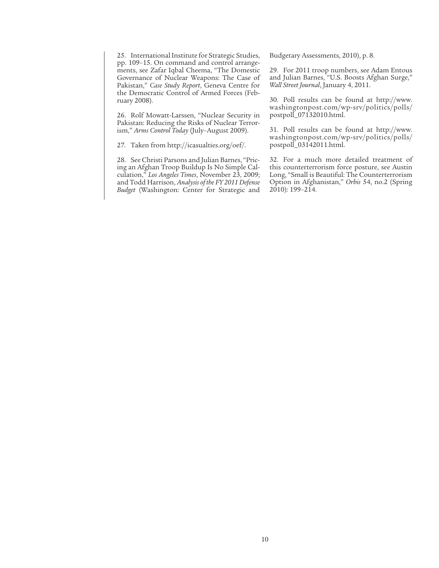25. International Institute for Strategic Studies, pp. 109–15. On command and control arrangements, see Zafar Iqbal Cheema, "The Domestic Governance of Nuclear Weapons: The Case of Pakistan," *Case Study Report*, Geneva Centre for the Democratic Control of Armed Forces (February 2008).

26. Rolf Mowatt-Larssen, "Nuclear Security in Pakistan: Reducing the Risks of Nuclear Terrorism," *Arms Control Today* (July–August 2009).

27. Taken from http://icasualties.org/oef/.

28. See Christi Parsons and Julian Barnes, "Pricing an Afghan Troop Buildup Is No Simple Calculation," *Los Angeles Times*, November 23, 2009; and Todd Harrison, *Analysis of the FY 2011 Defense Budget* (Washington: Center for Strategic and Budgetary Assessments, 2010), p. 8.

29. For 2011 troop numbers, see Adam Entous and Julian Barnes, "U.S. Boosts Afghan Surge," *Wall Street Journal*, January 4, 2011.

30. Poll results can be found at http://www. washingtonpost.com/wp-srv/politics/polls/ postpoll\_07132010.html.

31. Poll results can be found at http://www. washingtonpost.com/wp-srv/politics/polls/ postpoll\_03142011.html.

32. For a much more detailed treatment of this counterterrorism force posture, see Austin Long, "Small is Beautiful: The Counterterrorism Option in Afghanistan," *Orbis* 54, no.2 (Spring 2010): 199–214.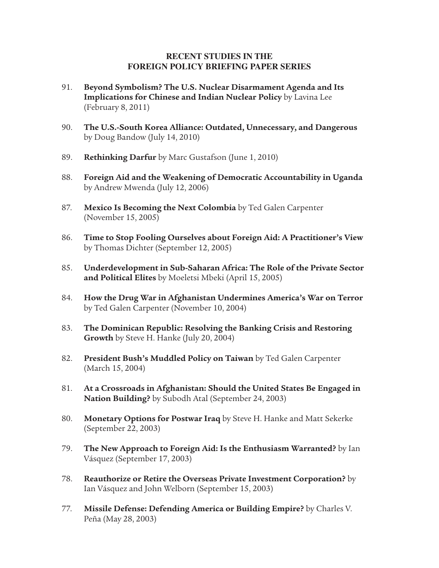#### **RECENT STUDIES IN THE FOREIGN POLICY BRIEFING PAPER SERIES**

- 91. **Beyond Symbolism? The U.S. Nuclear Disarmament Agenda and Its Implications for Chinese and Indian Nuclear Policy** by Lavina Lee (February 8, 2011)
- 90. **The U.S.-South Korea Alliance: Outdated, Unnecessary, and Dangerous** by Doug Bandow (July 14, 2010)
- 89. **Rethinking Darfur** by Marc Gustafson (June 1, 2010)
- 88. **Foreign Aid and the Weakening of Democratic Accountability in Uganda** by Andrew Mwenda (July 12, 2006)
- 87. **Mexico Is Becoming the Next Colombia** by Ted Galen Carpenter (November 15, 2005)
- 86. **Time to Stop Fooling Ourselves about Foreign Aid: A Practitioner's View** by Thomas Dichter (September 12, 2005)
- 85. **Underdevelopment in Sub-Saharan Africa: The Role of the Private Sector and Political Elites** by Moeletsi Mbeki (April 15, 2005)
- 84. **How the Drug War in Afghanistan Undermines America's War on Terror** by Ted Galen Carpenter (November 10, 2004)
- 83. **The Dominican Republic: Resolving the Banking Crisis and Restoring Growth** by Steve H. Hanke (July 20, 2004)
- 82. **President Bush's Muddled Policy on Taiwan** by Ted Galen Carpenter (March 15, 2004)
- 81. **At a Crossroads in Afghanistan: Should the United States Be Engaged in Nation Building?** by Subodh Atal (September 24, 2003)
- 80. **Monetary Options for Postwar Iraq** by Steve H. Hanke and Matt Sekerke (September 22, 2003)
- 79. **The New Approach to Foreign Aid: Is the Enthusiasm Warranted?** by Ian Vásquez (September 17, 2003)
- 78. **Reauthorize or Retire the Overseas Private Investment Corporation?** by Ian Vásquez and John Welborn (September 15, 2003)
- 77. **Missile Defense: Defending America or Building Empire?** by Charles V. Peña (May 28, 2003)